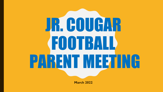

**March 2022**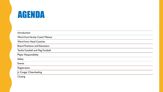## AGENDA

| Introduction                          |  |
|---------------------------------------|--|
| Word from Varsity Coach Malone        |  |
| <b>Word from Head Coaches</b>         |  |
| <b>Board Positions and Volunteers</b> |  |
| Tackle Football and Flag Football     |  |
| <b>Player Responsibility</b>          |  |
| Safety                                |  |
| <b>Events</b>                         |  |
| Registration                          |  |
| Jr. Cougar Cheerleading               |  |
| $\sim$ $\sim$                         |  |

**Closing**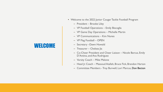#### **WELCOME**

- Welcome to the 2022 Junior Cougar Tackle Football Program
	- President Brooke Liley
	- VP Football Operations Emily Biscoglia
	- VP Game Day Operations Michelle Martin
	- VP Communications Kim Nunes
	- VP Flag Football OPEN
	- Secretary –Dawn Howald
	- Treasurer Chelsea Jia
	- Co-Cheer President and Cheer Liaison Nicole Barcus, Emily D'Antino, and Ana Rodriguez
	- Varsity Coach Mike Malone
	- Head Jr. Coach Massoud Atallah, Bruce Fick, Brandon Harton
	- Committee Members Troy Burwell, Lori Marcus, Don Becton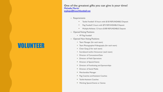#### VOLUNTEER

**One of the greatest gifts you can give is your time!**  Michelle Martin [jrgdops@hoochfootball.net](mailto:jrgdops@hoochfootball.net)

- Requirements
	- Tackle Football 10 hours with \$150 REFUNDABLE Deposit
	- Flag Football 5 hours with \$75 REFUNDABLE Deposit
	- Multiple Athletes 12 hours \$180 REFUNDABLE Deposit
- Opened Voting Positions
	- VP Flag Football
- Opened Non-Voting Positions
	- Team Manager (for each team)
	- Team Photographer/Videography (for each team)
	- Chain Gang (3 for each team)
	- Scoreboard and/or Announcer (each team)
	- Director of Concessions/Gate
	- Director of Field Operations
	- Director of Special Events
	- Director of Fundraising and Sponsorships
	- Director of Social Media
	- Merchandise Manager
	- Flag Coaches and Assistant Coaches
	- Tackle Assistant Coaches
	- Working Special Events or Games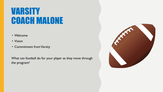## VARSITY COACH MALONE

- Welcome
- Vision
- Commitment from Varsity

What can football do for your player as they move through the program?

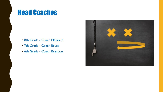#### Head Coaches

- 8th Grade Coach Massoud
- 7th Grade Coach Bruce
- 6th Grade Coach Brandon

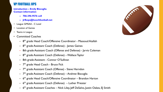#### VP FOOTBALL OPS

**Introduction – Emily Biscoglia Contact information** 

- **– 706-296-9576 cell**
- **– Jrfbops@hoochfootball.net**
- League GMSAA C Level
- Location of Games
- Teams in League
- Committed Coaches
	- 8<sup>th</sup> grade Head Coach/Offensive Coordinator Massoud Atallah
	- 8<sup>th</sup> grade Assistant Coach (Defense) James Gaines
	- 8th grade Assistant Coach (Offense and Defense) Jarvis Coleman
	- 8<sup>th</sup> grade Assistant Coach (Defense) Wallace Taylor
	- 8th grade Assistant Connor O'Sullivan
	- 7<sup>th</sup> grade Head Coach Bruce Fick
	- 7<sup>th</sup> grade Assistant Coach (Offense) Steve Herndon
	- 7<sup>th</sup> grade Assistant Coach (Defense) Andrew Biscoglia
	- 6<sup>th</sup> grade Head Coach/Offensive Coordinator Brandon Harton
	- 6<sup>th</sup> grade Assistant Coach (Defense) Luther Priester
	- 6<sup>th</sup> grade Assistant Coaches Nick Liley, Jeff DeSalvo, Justin Oakes, EJ Smith

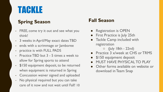## TACKLE

#### **Spring Season**

- FREE, come try it out and see what you think!
- 3 weeks in April/May exact dates TBD
- ends with a scrimmage or Jamboree
- practice is with FULL PADS
- Practice TBD but 3 5 times a week to allow for Spring sports to attend
- \$150 equipment deposit, to be returned when equipment is returned in Spring
- Concussion waiver signed and uploaded
- No physical required but you can take care of it now and not wait until Fall! 10

#### **Fall Season**

- Registration is OPEN
- First Practice is July 25th
- Tackle Camp included with registration

 $\circ$  (July 18th - 22nd)

- **Practice 3 x/week at CHS or TRMS**
- \$150 equipment deposit
- **MUST HAVE PHYSICAL TO PLAY**
- Other forms available on website or download in Team Snap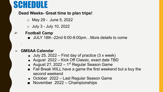## SCHEDULE

#### · **Dead Weeks- Great time to plan trips!**

- o May 29 June 5, 2022
- $\circ$  July 3 July 10, 2022

#### ➢ **Football Camp**

■ JULY 18th -22nd 6:00-8:00pm...More details to come

#### ➢ **GMSAA Calendar**

·

- $\blacksquare$  July 25, 2022 First day of practice (3 x week)
- August 2022 Kick Off Classic, exact date TBD
- August 2?, 2022 1<sup>st</sup> Regular Season Game
- Fall Break WILL have a game the first weekend but a buy the second weekend
- October 2022 Last Regular Season Game
- November 2022 Championships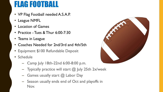## FLAG FOOTBALL

- VP Flag Football needed A.S.A.P.
- League NMFL
- Location of Games
- Practice Tues & Thur 6:00-7:30
- Teams in League
- Coaches Needed for 2nd/3rd and 4th/5th
- Equipment \$100 Refundable Deposit
- Schedule
	- Camp July 18th-22nd 6:00-8:00 p.m.
	- Typically practice will start  $@$  July 25th 2x/week
	- Games usually start  $@$  Labor Day
	- Season usually ends end of Oct and playoffs in Nov.

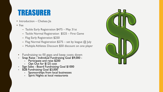### TREASURER

- Introduction Chelsea Jia
- Fee
	- Tackle Early Registration \$475 May 31st
	- Tackle Normal Registration \$525 First Game
	- Flag Early Registration \$250
	- Flag Normal Registration  $$275$  set by league  $@$  July
	- Multiple Athletes Discount \$50 discount on one player
	- Fundraising to fill gaps and keep costs down
	- Snap Raise Individual Fundraising Goal \$9,000
		- Participate and raise \$200
		- Opt Out for \$125 cost
	- Sign Sales Board Fundraising Goal \$1000
	- B2B Fundraising Goal \$3,000
		- Sponsorships from local businesses
		- Spirit Nights at local restaurants

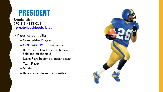## PRESIDENT

Brooke Liley 770-315-4882 Cell [jrpres@hoochfootball.net](mailto:jrpres@hoochfootball.net)

- Player Responsibility
	- Competitive Program
	- COUGAR TIME 15 min early
	- Be respectful and responsible on the field and off the field
	- Learn Plays become a better player
	- Team Player
	- Grades
	- Be accountable and responsible

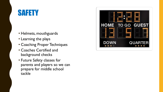## SAFETY

- Helmets, mouthguards
- Learning the plays
- Coaching Proper Techniques
- Coaches Certified and background checks
- Future Safety classes for parents and players so we can prepare for middle school tackle

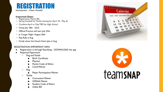#### REGISTRATION Introduction – Dawn Howald

#### **Important Dates**

- Registration March 8th
- Spring Football for Tackle (aiming for April 18 May 6)
- Combine April or May TBD by High School
- Camp July 18th 22nd
- Official Practice will start July 25th
- Jr. Cougar Night August 26th
- Pep Rally in Aug
- Family shoot the Hooch Event July or Aug.

#### REGISTRATION IMPORTANT INFO

- Registration is through TeamSnap DOWNLOAD the app
- **Required Paperwork** 
	- Flag and Tackle
		- Birth Certificate
		- **Physical**
		- **Parent Code of Ethics**
		- Covid Waiver
	- Flag
		- Player Participation Waiver
	- Tackle
		- Concussion Waiver
		- **GMSAA Waiver**
		- **Student Code of Ethics**
		- Utility Bill



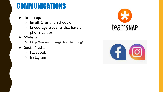### COMMUNICATIONS

- Teamsnap:
	- Email, Chat and Schedule
	- Encourage students that have a phone to use
- Website:
	- http://www.jrcougarfootball.org/
- Social Media:
	- Facebook
	- Instagram



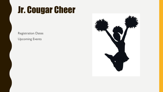## Jr. Cougar Cheer

Registration Dates Upcoming Events

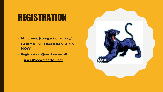## **REGISTRATION**

- **• http://www.jrcougarfootball.org/**
- **• EARLY REGISTRATION STARTS NOW!**
- **• Registration Questions email [jrsec@hoochfootball.net](mailto:jrsec@hoochfootball.net)**